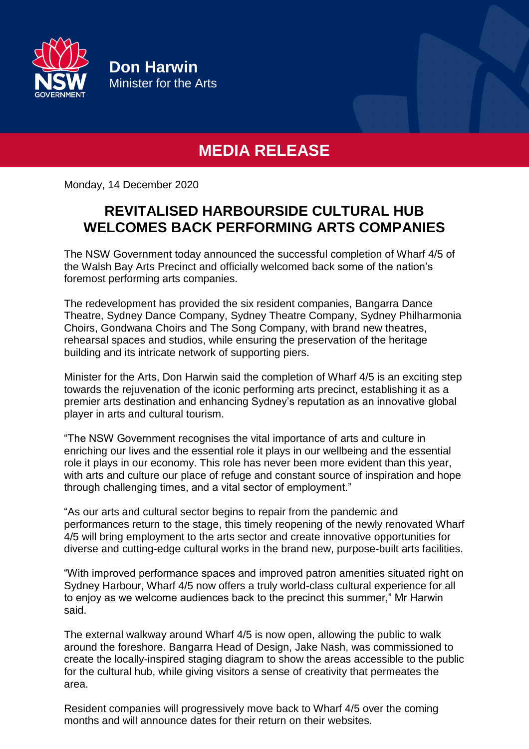

**Don Harwin** Minister for the Arts

## **MEDIA RELEASE**

Monday, 14 December 2020

## **REVITALISED HARBOURSIDE CULTURAL HUB WELCOMES BACK PERFORMING ARTS COMPANIES**

The NSW Government today announced the successful completion of Wharf 4/5 of the Walsh Bay Arts Precinct and officially welcomed back some of the nation's foremost performing arts companies.

The redevelopment has provided the six resident companies, Bangarra Dance Theatre, Sydney Dance Company, Sydney Theatre Company, Sydney Philharmonia Choirs, Gondwana Choirs and The Song Company, with brand new theatres, rehearsal spaces and studios, while ensuring the preservation of the heritage building and its intricate network of supporting piers.

Minister for the Arts, Don Harwin said the completion of Wharf 4/5 is an exciting step towards the rejuvenation of the iconic performing arts precinct, establishing it as a premier arts destination and enhancing Sydney's reputation as an innovative global player in arts and cultural tourism.

"The NSW Government recognises the vital importance of arts and culture in enriching our lives and the essential role it plays in our wellbeing and the essential role it plays in our economy. This role has never been more evident than this year, with arts and culture our place of refuge and constant source of inspiration and hope through challenging times, and a vital sector of employment."

"As our arts and cultural sector begins to repair from the pandemic and performances return to the stage, this timely reopening of the newly renovated Wharf 4/5 will bring employment to the arts sector and create innovative opportunities for diverse and cutting-edge cultural works in the brand new, purpose-built arts facilities.

"With improved performance spaces and improved patron amenities situated right on Sydney Harbour, Wharf 4/5 now offers a truly world-class cultural experience for all to enjoy as we welcome audiences back to the precinct this summer," Mr Harwin said.

The external walkway around Wharf 4/5 is now open, allowing the public to walk around the foreshore. Bangarra Head of Design, Jake Nash, was commissioned to create the locally-inspired staging diagram to show the areas accessible to the public for the cultural hub, while giving visitors a sense of creativity that permeates the area.

Resident companies will progressively move back to Wharf 4/5 over the coming months and will announce dates for their return on their websites.